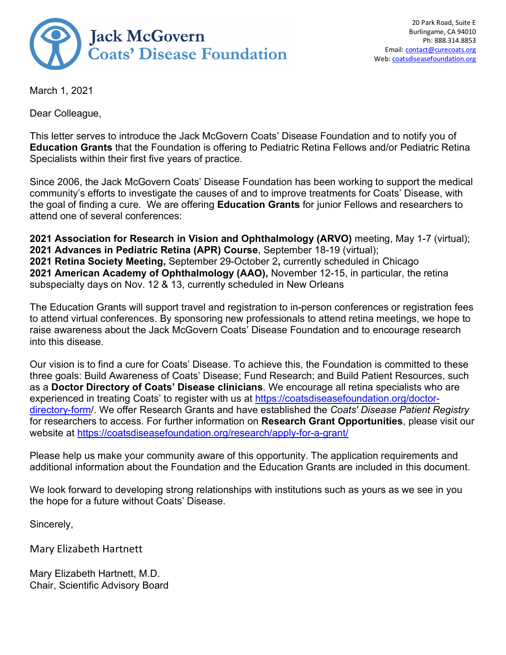

March 1, 2021

Dear Colleague,

This letter serves to introduce the Jack McGovern Coats' Disease Foundation and to notify you of **Education Grants** that the Foundation is offering to Pediatric Retina Fellows and/or Pediatric Retina Specialists within their first five years of practice.

Since 2006, the Jack McGovern Coats' Disease Foundation has been working to support the medical community's efforts to investigate the causes of and to improve treatments for Coats' Disease, with the goal of finding a cure. We are offering **Education Grants** for junior Fellows and researchers to attend one of several conferences:

**2021 Association for Research in Vision and Ophthalmology (ARVO)** meeting, May 1-7 (virtual); **2021 Advances in Pediatric Retina (APR) Course**, September 18-19 (virtual); **2021 Retina Society Meeting,** September 29-October 2**,** currently scheduled in Chicago **2021 American Academy of Ophthalmology (AAO),** November 12-15, in particular, the retina subspecialty days on Nov. 12 & 13, currently scheduled in New Orleans

The Education Grants will support travel and registration to in-person conferences or registration fees to attend virtual conferences. By sponsoring new professionals to attend retina meetings, we hope to raise awareness about the Jack McGovern Coats' Disease Foundation and to encourage research into this disease.

Our vision is to find a cure for Coats' Disease. To achieve this, the Foundation is committed to these three goals: Build Awareness of Coats' Disease; Fund Research; and Build Patient Resources, such as a **Doctor Directory of Coats' Disease clinicians**. We encourage all retina specialists who are experienced in treating Coats' to register with us at [https://coatsdiseasefoundation.org/doctor](https://coatsdiseasefoundation.org/doctor-directory-form/)[directory-form/](https://coatsdiseasefoundation.org/doctor-directory-form/). We offer Research Grants and have established the *Coats' Disease Patient Registry* for researchers to access. For further information on **Research Grant Opportunities**, please visit our website at https://coatsdiseasefoundation.org/research/apply-for-a-grant/

Please help us make your community aware of this opportunity. The application requirements and additional information about the Foundation and the Education Grants are included in this document.

We look forward to developing strong relationships with institutions such as yours as we see in you the hope for a future without Coats' Disease.

Sincerely,

Mary Elizabeth Hartnett

Mary Elizabeth Hartnett, M.D. Chair, Scientific Advisory Board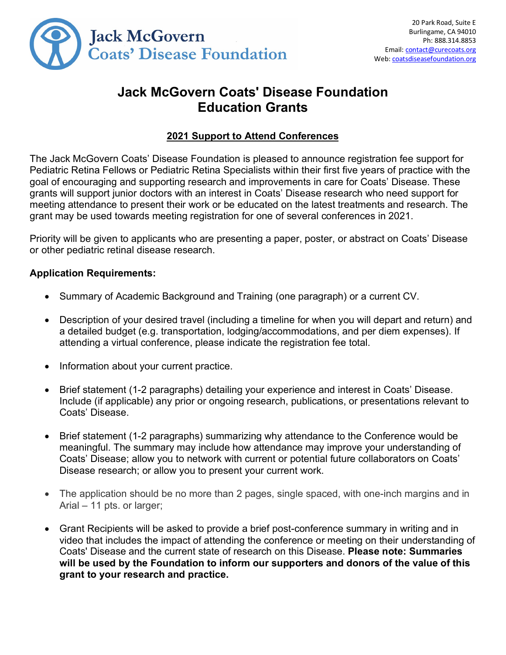

# **Jack McGovern Coats' Disease Foundation Education Grants**

## **2021 Support to Attend Conferences**

The Jack McGovern Coats' Disease Foundation is pleased to announce registration fee support for Pediatric Retina Fellows or Pediatric Retina Specialists within their first five years of practice with the goal of encouraging and supporting research and improvements in care for Coats' Disease. These grants will support junior doctors with an interest in Coats' Disease research who need support for meeting attendance to present their work or be educated on the latest treatments and research. The grant may be used towards meeting registration for one of several conferences in 2021.

Priority will be given to applicants who are presenting a paper, poster, or abstract on Coats' Disease or other pediatric retinal disease research.

#### **Application Requirements:**

- Summary of Academic Background and Training (one paragraph) or a current CV.
- Description of your desired travel (including a timeline for when you will depart and return) and a detailed budget (e.g. transportation, lodging/accommodations, and per diem expenses). If attending a virtual conference, please indicate the registration fee total.
- Information about your current practice.
- Brief statement (1-2 paragraphs) detailing your experience and interest in Coats' Disease. Include (if applicable) any prior or ongoing research, publications, or presentations relevant to Coats' Disease.
- Brief statement (1-2 paragraphs) summarizing why attendance to the Conference would be meaningful. The summary may include how attendance may improve your understanding of Coats' Disease; allow you to network with current or potential future collaborators on Coats' Disease research; or allow you to present your current work.
- The application should be no more than 2 pages, single spaced, with one-inch margins and in Arial – 11 pts. or larger;
- Grant Recipients will be asked to provide a brief post-conference summary in writing and in video that includes the impact of attending the conference or meeting on their understanding of Coats' Disease and the current state of research on this Disease. **Please note: Summaries will be used by the Foundation to inform our supporters and donors of the value of this grant to your research and practice.**